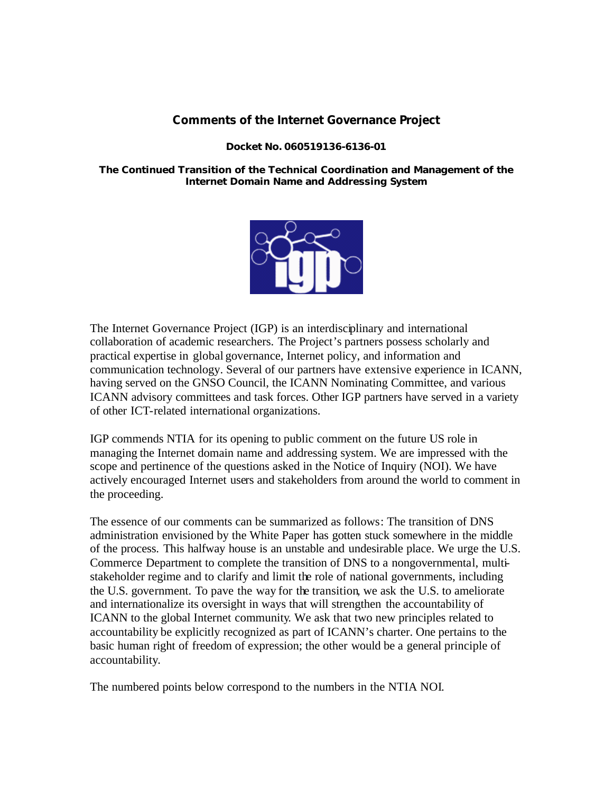### **Comments of the Internet Governance Project**

#### **Docket No. 060519136-6136-01**

### **The Continued Transition of the Technical Coordination and Management of the Internet Domain Name and Addressing System**



The Internet Governance Project (IGP) is an interdisciplinary and international collaboration of academic researchers. The Project's partners possess scholarly and practical expertise in global governance, Internet policy, and information and communication technology. Several of our partners have extensive experience in ICANN, having served on the GNSO Council, the ICANN Nominating Committee, and various ICANN advisory committees and task forces. Other IGP partners have served in a variety of other ICT-related international organizations.

IGP commends NTIA for its opening to public comment on the future US role in managing the Internet domain name and addressing system. We are impressed with the scope and pertinence of the questions asked in the Notice of Inquiry (NOI). We have actively encouraged Internet users and stakeholders from around the world to comment in the proceeding.

The essence of our comments can be summarized as follows: The transition of DNS administration envisioned by the White Paper has gotten stuck somewhere in the middle of the process. This halfway house is an unstable and undesirable place. We urge the U.S. Commerce Department to complete the transition of DNS to a nongovernmental, multistakeholder regime and to clarify and limit the role of national governments, including the U.S. government. To pave the way for the transition, we ask the U.S. to ameliorate and internationalize its oversight in ways that will strengthen the accountability of ICANN to the global Internet community. We ask that two new principles related to accountability be explicitly recognized as part of ICANN's charter. One pertains to the basic human right of freedom of expression; the other would be a general principle of accountability.

The numbered points below correspond to the numbers in the NTIA NOI.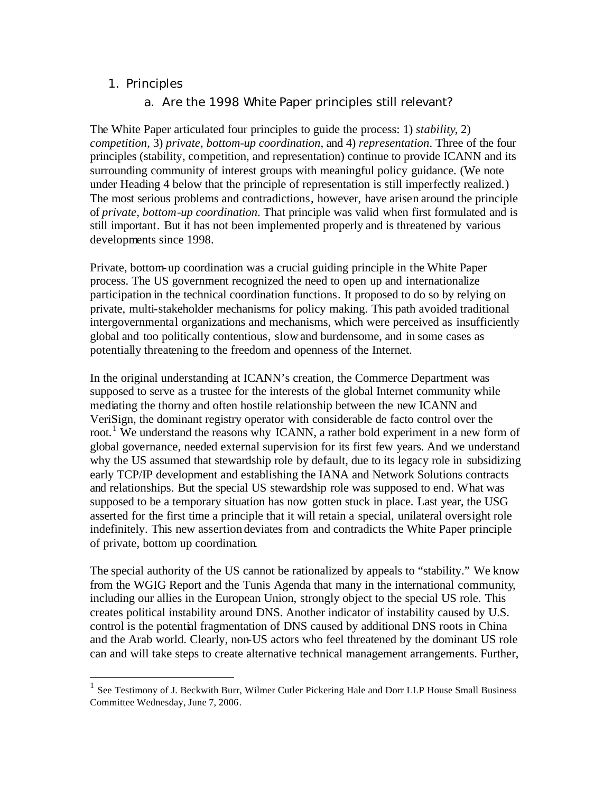## 1. Principles

 $\overline{a}$ 

## a. Are the 1998 White Paper principles still relevant?

The White Paper articulated four principles to guide the process: 1) *stability*, 2) *competition*, 3) *private, bottom-up coordination*, and 4) *representation*. Three of the four principles (stability, competition, and representation) continue to provide ICANN and its surrounding community of interest groups with meaningful policy guidance. (We note under Heading 4 below that the principle of representation is still imperfectly realized.) The most serious problems and contradictions, however, have arisen around the principle of *private, bottom-up coordination*. That principle was valid when first formulated and is still important. But it has not been implemented properly and is threatened by various developments since 1998.

Private, bottom-up coordination was a crucial guiding principle in the White Paper process. The US government recognized the need to open up and internationalize participation in the technical coordination functions. It proposed to do so by relying on private, multi-stakeholder mechanisms for policy making. This path avoided traditional intergovernmental organizations and mechanisms, which were perceived as insufficiently global and too politically contentious, slow and burdensome, and in some cases as potentially threatening to the freedom and openness of the Internet.

In the original understanding at ICANN's creation, the Commerce Department was supposed to serve as a trustee for the interests of the global Internet community while mediating the thorny and often hostile relationship between the new ICANN and VeriSign, the dominant registry operator with considerable de facto control over the root.<sup>1</sup> We understand the reasons why ICANN, a rather bold experiment in a new form of global governance, needed external supervision for its first few years. And we understand why the US assumed that stewardship role by default, due to its legacy role in subsidizing early TCP/IP development and establishing the IANA and Network Solutions contracts and relationships. But the special US stewardship role was supposed to end. What was supposed to be a temporary situation has now gotten stuck in place. Last year, the USG asserted for the first time a principle that it will retain a special, unilateral oversight role indefinitely. This new assertion deviates from and contradicts the White Paper principle of private, bottom up coordination.

The special authority of the US cannot be rationalized by appeals to "stability." We know from the WGIG Report and the Tunis Agenda that many in the international community, including our allies in the European Union, strongly object to the special US role. This creates political instability around DNS. Another indicator of instability caused by U.S. control is the potential fragmentation of DNS caused by additional DNS roots in China and the Arab world. Clearly, non-US actors who feel threatened by the dominant US role can and will take steps to create alternative technical management arrangements. Further,

<sup>1</sup> See Testimony of J. Beckwith Burr, Wilmer Cutler Pickering Hale and Dorr LLP House Small Business Committee Wednesday, June 7, 2006.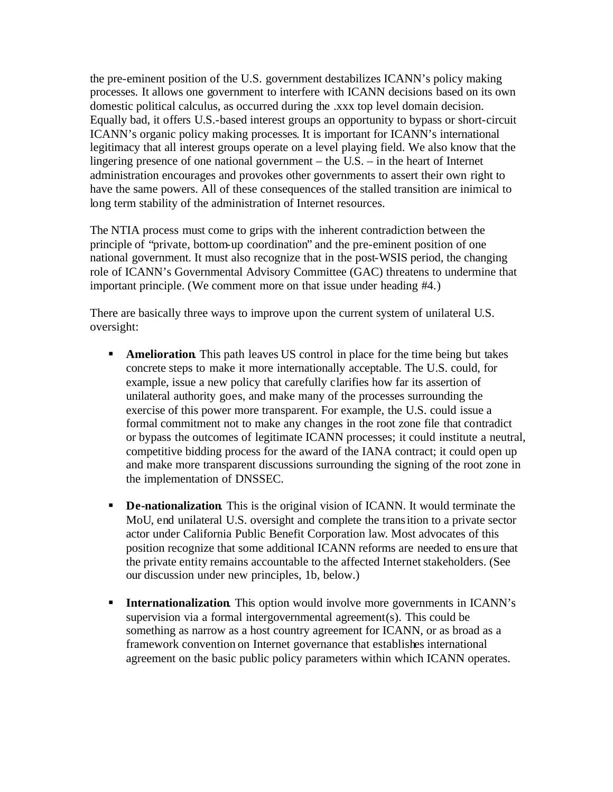the pre-eminent position of the U.S. government destabilizes ICANN's policy making processes. It allows one government to interfere with ICANN decisions based on its own domestic political calculus, as occurred during the .xxx top level domain decision. Equally bad, it offers U.S.-based interest groups an opportunity to bypass or short-circuit ICANN's organic policy making processes. It is important for ICANN's international legitimacy that all interest groups operate on a level playing field. We also know that the lingering presence of one national government – the U.S. – in the heart of Internet administration encourages and provokes other governments to assert their own right to have the same powers. All of these consequences of the stalled transition are inimical to long term stability of the administration of Internet resources.

The NTIA process must come to grips with the inherent contradiction between the principle of "private, bottom-up coordination" and the pre-eminent position of one national government. It must also recognize that in the post-WSIS period, the changing role of ICANN's Governmental Advisory Committee (GAC) threatens to undermine that important principle. (We comment more on that issue under heading #4.)

There are basically three ways to improve upon the current system of unilateral U.S. oversight:

- **Amelioration.** This path leaves US control in place for the time being but takes concrete steps to make it more internationally acceptable. The U.S. could, for example, issue a new policy that carefully clarifies how far its assertion of unilateral authority goes, and make many of the processes surrounding the exercise of this power more transparent. For example, the U.S. could issue a formal commitment not to make any changes in the root zone file that contradict or bypass the outcomes of legitimate ICANN processes; it could institute a neutral, competitive bidding process for the award of the IANA contract; it could open up and make more transparent discussions surrounding the signing of the root zone in the implementation of DNSSEC.
- **De-nationalization**. This is the original vision of ICANN. It would terminate the MoU, end unilateral U.S. oversight and complete the transition to a private sector actor under California Public Benefit Corporation law. Most advocates of this position recognize that some additional ICANN reforms are needed to ensure that the private entity remains accountable to the affected Internet stakeholders. (See our discussion under new principles, 1b, below.)
- **Internationalization.** This option would involve more governments in ICANN's supervision via a formal intergovernmental agreement(s). This could be something as narrow as a host country agreement for ICANN, or as broad as a framework convention on Internet governance that establishes international agreement on the basic public policy parameters within which ICANN operates.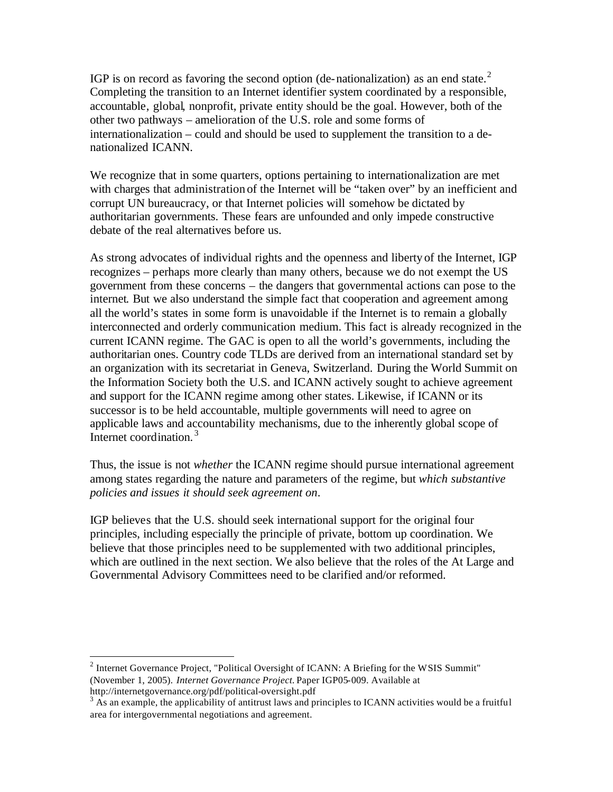IGP is on record as favoring the second option (de-nationalization) as an end state.<sup>2</sup> Completing the transition to an Internet identifier system coordinated by a responsible, accountable, global, nonprofit, private entity should be the goal. However, both of the other two pathways – amelioration of the U.S. role and some forms of internationalization – could and should be used to supplement the transition to a denationalized ICANN.

We recognize that in some quarters, options pertaining to internationalization are met with charges that administration of the Internet will be "taken over" by an inefficient and corrupt UN bureaucracy, or that Internet policies will somehow be dictated by authoritarian governments. These fears are unfounded and only impede constructive debate of the real alternatives before us.

As strong advocates of individual rights and the openness and liberty of the Internet, IGP recognizes – perhaps more clearly than many others, because we do not exempt the US government from these concerns – the dangers that governmental actions can pose to the internet. But we also understand the simple fact that cooperation and agreement among all the world's states in some form is unavoidable if the Internet is to remain a globally interconnected and orderly communication medium. This fact is already recognized in the current ICANN regime. The GAC is open to all the world's governments, including the authoritarian ones. Country code TLDs are derived from an international standard set by an organization with its secretariat in Geneva, Switzerland. During the World Summit on the Information Society both the U.S. and ICANN actively sought to achieve agreement and support for the ICANN regime among other states. Likewise, if ICANN or its successor is to be held accountable, multiple governments will need to agree on applicable laws and accountability mechanisms, due to the inherently global scope of Internet coordination.<sup>3</sup>

Thus, the issue is not *whether* the ICANN regime should pursue international agreement among states regarding the nature and parameters of the regime, but *which substantive policies and issues it should seek agreement on*.

IGP believes that the U.S. should seek international support for the original four principles, including especially the principle of private, bottom up coordination. We believe that those principles need to be supplemented with two additional principles, which are outlined in the next section. We also believe that the roles of the At Large and Governmental Advisory Committees need to be clarified and/or reformed.

 $\overline{a}$ 

<sup>&</sup>lt;sup>2</sup> Internet Governance Project, "Political Oversight of ICANN: A Briefing for the WSIS Summit" (November 1, 2005). *Internet Governance Project.* Paper IGP05-009. Available at http://internetgovernance.org/pdf/political-oversight.pdf

 $3 \text{ Ås}$  an example, the applicability of antitrust laws and principles to ICANN activities would be a fruitful area for intergovernmental negotiations and agreement.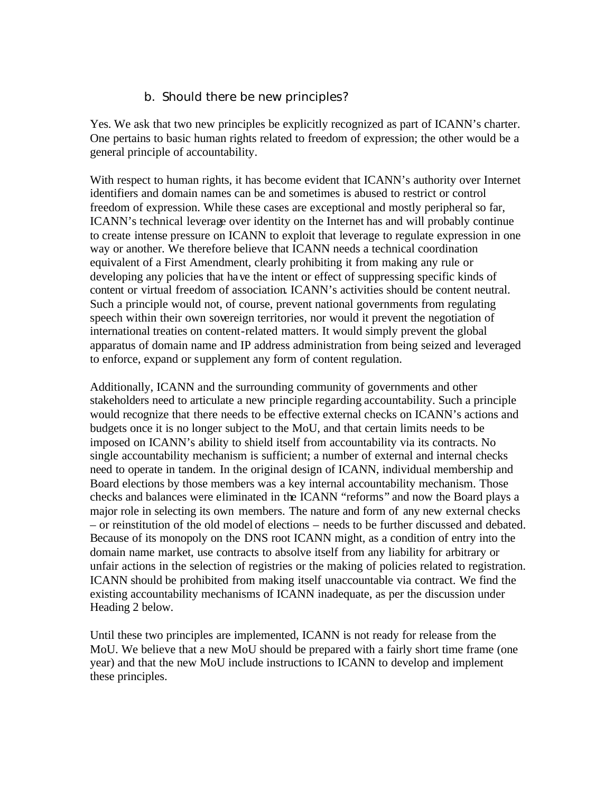## b. Should there be new principles?

Yes. We ask that two new principles be explicitly recognized as part of ICANN's charter. One pertains to basic human rights related to freedom of expression; the other would be a general principle of accountability.

With respect to human rights, it has become evident that ICANN's authority over Internet identifiers and domain names can be and sometimes is abused to restrict or control freedom of expression. While these cases are exceptional and mostly peripheral so far, ICANN's technical leverage over identity on the Internet has and will probably continue to create intense pressure on ICANN to exploit that leverage to regulate expression in one way or another. We therefore believe that ICANN needs a technical coordination equivalent of a First Amendment, clearly prohibiting it from making any rule or developing any policies that have the intent or effect of suppressing specific kinds of content or virtual freedom of association. ICANN's activities should be content neutral. Such a principle would not, of course, prevent national governments from regulating speech within their own sovereign territories, nor would it prevent the negotiation of international treaties on content-related matters. It would simply prevent the global apparatus of domain name and IP address administration from being seized and leveraged to enforce, expand or supplement any form of content regulation.

Additionally, ICANN and the surrounding community of governments and other stakeholders need to articulate a new principle regarding accountability. Such a principle would recognize that there needs to be effective external checks on ICANN's actions and budgets once it is no longer subject to the MoU, and that certain limits needs to be imposed on ICANN's ability to shield itself from accountability via its contracts. No single accountability mechanism is sufficient; a number of external and internal checks need to operate in tandem. In the original design of ICANN, individual membership and Board elections by those members was a key internal accountability mechanism. Those checks and balances were eliminated in the ICANN "reforms" and now the Board plays a major role in selecting its own members. The nature and form of any new external checks – or reinstitution of the old model of elections – needs to be further discussed and debated. Because of its monopoly on the DNS root ICANN might, as a condition of entry into the domain name market, use contracts to absolve itself from any liability for arbitrary or unfair actions in the selection of registries or the making of policies related to registration. ICANN should be prohibited from making itself unaccountable via contract. We find the existing accountability mechanisms of ICANN inadequate, as per the discussion under Heading 2 below.

Until these two principles are implemented, ICANN is not ready for release from the MoU. We believe that a new MoU should be prepared with a fairly short time frame (one year) and that the new MoU include instructions to ICANN to develop and implement these principles.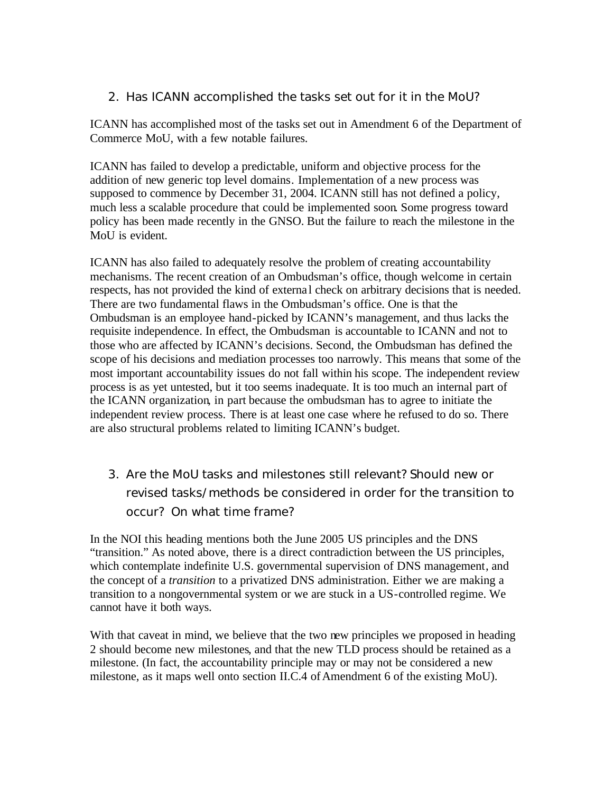2. Has ICANN accomplished the tasks set out for it in the MoU?

ICANN has accomplished most of the tasks set out in Amendment 6 of the Department of Commerce MoU, with a few notable failures.

ICANN has failed to develop a predictable, uniform and objective process for the addition of new generic top level domains. Implementation of a new process was supposed to commence by December 31, 2004. ICANN still has not defined a policy, much less a scalable procedure that could be implemented soon. Some progress toward policy has been made recently in the GNSO. But the failure to reach the milestone in the MoU is evident.

ICANN has also failed to adequately resolve the problem of creating accountability mechanisms. The recent creation of an Ombudsman's office, though welcome in certain respects, has not provided the kind of external check on arbitrary decisions that is needed. There are two fundamental flaws in the Ombudsman's office. One is that the Ombudsman is an employee hand-picked by ICANN's management, and thus lacks the requisite independence. In effect, the Ombudsman is accountable to ICANN and not to those who are affected by ICANN's decisions. Second, the Ombudsman has defined the scope of his decisions and mediation processes too narrowly. This means that some of the most important accountability issues do not fall within his scope. The independent review process is as yet untested, but it too seems inadequate. It is too much an internal part of the ICANN organization, in part because the ombudsman has to agree to initiate the independent review process. There is at least one case where he refused to do so. There are also structural problems related to limiting ICANN's budget.

3. Are the MoU tasks and milestones still relevant? Should new or revised tasks/methods be considered in order for the transition to occur? On what time frame?

In the NOI this heading mentions both the June 2005 US principles and the DNS "transition." As noted above, there is a direct contradiction between the US principles, which contemplate indefinite U.S. governmental supervision of DNS management, and the concept of a *transition* to a privatized DNS administration. Either we are making a transition to a nongovernmental system or we are stuck in a US-controlled regime. We cannot have it both ways.

With that caveat in mind, we believe that the two new principles we proposed in heading 2 should become new milestones, and that the new TLD process should be retained as a milestone. (In fact, the accountability principle may or may not be considered a new milestone, as it maps well onto section II.C.4 of Amendment 6 of the existing MoU).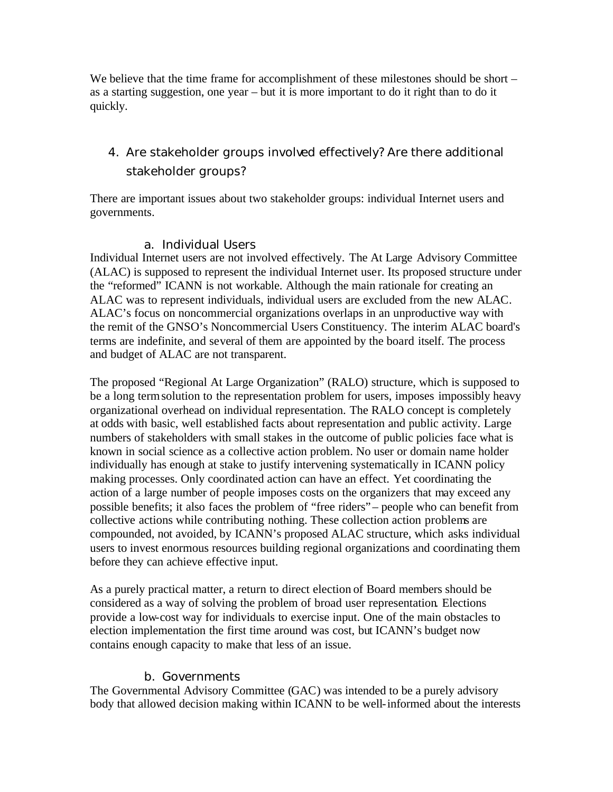We believe that the time frame for accomplishment of these milestones should be short – as a starting suggestion, one year – but it is more important to do it right than to do it quickly.

4. Are stakeholder groups involved effectively? Are there additional stakeholder groups?

There are important issues about two stakeholder groups: individual Internet users and governments.

## a. Individual Users

Individual Internet users are not involved effectively. The At Large Advisory Committee (ALAC) is supposed to represent the individual Internet user. Its proposed structure under the "reformed" ICANN is not workable. Although the main rationale for creating an ALAC was to represent individuals, individual users are excluded from the new ALAC. ALAC's focus on noncommercial organizations overlaps in an unproductive way with the remit of the GNSO's Noncommercial Users Constituency. The interim ALAC board's terms are indefinite, and several of them are appointed by the board itself. The process and budget of ALAC are not transparent.

The proposed "Regional At Large Organization" (RALO) structure, which is supposed to be a long termsolution to the representation problem for users, imposes impossibly heavy organizational overhead on individual representation. The RALO concept is completely at odds with basic, well established facts about representation and public activity. Large numbers of stakeholders with small stakes in the outcome of public policies face what is known in social science as a collective action problem. No user or domain name holder individually has enough at stake to justify intervening systematically in ICANN policy making processes. Only coordinated action can have an effect. Yet coordinating the action of a large number of people imposes costs on the organizers that may exceed any possible benefits; it also faces the problem of "free riders"– people who can benefit from collective actions while contributing nothing. These collection action problems are compounded, not avoided, by ICANN's proposed ALAC structure, which asks individual users to invest enormous resources building regional organizations and coordinating them before they can achieve effective input.

As a purely practical matter, a return to direct election of Board members should be considered as a way of solving the problem of broad user representation. Elections provide a low-cost way for individuals to exercise input. One of the main obstacles to election implementation the first time around was cost, but ICANN's budget now contains enough capacity to make that less of an issue.

## b. Governments

The Governmental Advisory Committee (GAC) was intended to be a purely advisory body that allowed decision making within ICANN to be well-informed about the interests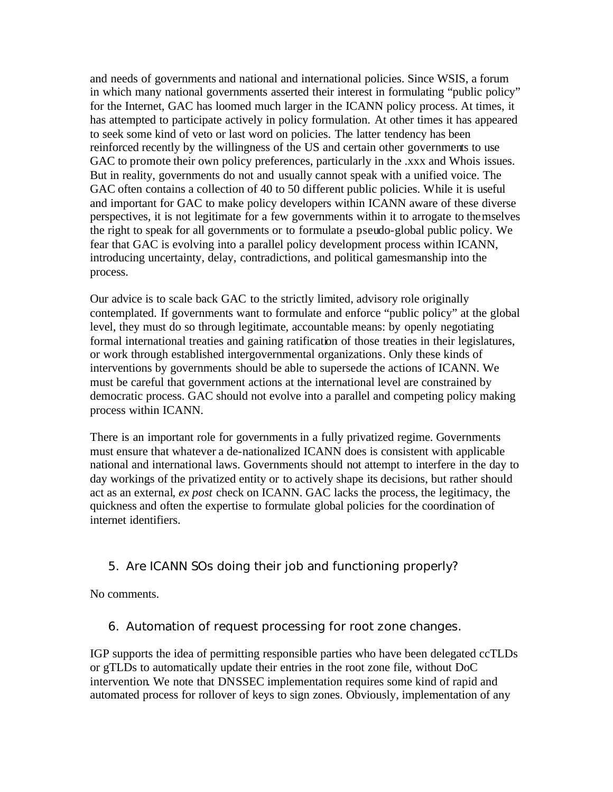and needs of governments and national and international policies. Since WSIS, a forum in which many national governments asserted their interest in formulating "public policy" for the Internet, GAC has loomed much larger in the ICANN policy process. At times, it has attempted to participate actively in policy formulation. At other times it has appeared to seek some kind of veto or last word on policies. The latter tendency has been reinforced recently by the willingness of the US and certain other governments to use GAC to promote their own policy preferences, particularly in the .xxx and Whois issues. But in reality, governments do not and usually cannot speak with a unified voice. The GAC often contains a collection of 40 to 50 different public policies. While it is useful and important for GAC to make policy developers within ICANN aware of these diverse perspectives, it is not legitimate for a few governments within it to arrogate to themselves the right to speak for all governments or to formulate a pseudo-global public policy. We fear that GAC is evolving into a parallel policy development process within ICANN, introducing uncertainty, delay, contradictions, and political gamesmanship into the process.

Our advice is to scale back GAC to the strictly limited, advisory role originally contemplated. If governments want to formulate and enforce "public policy" at the global level, they must do so through legitimate, accountable means: by openly negotiating formal international treaties and gaining ratification of those treaties in their legislatures, or work through established intergovernmental organizations. Only these kinds of interventions by governments should be able to supersede the actions of ICANN. We must be careful that government actions at the international level are constrained by democratic process. GAC should not evolve into a parallel and competing policy making process within ICANN.

There is an important role for governments in a fully privatized regime. Governments must ensure that whatever a de-nationalized ICANN does is consistent with applicable national and international laws. Governments should not attempt to interfere in the day to day workings of the privatized entity or to actively shape its decisions, but rather should act as an external, *ex post* check on ICANN. GAC lacks the process, the legitimacy, the quickness and often the expertise to formulate global policies for the coordination of internet identifiers.

# 5. Are ICANN SOs doing their job and functioning properly?

No comments.

6. Automation of request processing for root zone changes.

IGP supports the idea of permitting responsible parties who have been delegated ccTLDs or gTLDs to automatically update their entries in the root zone file, without DoC intervention. We note that DNSSEC implementation requires some kind of rapid and automated process for rollover of keys to sign zones. Obviously, implementation of any